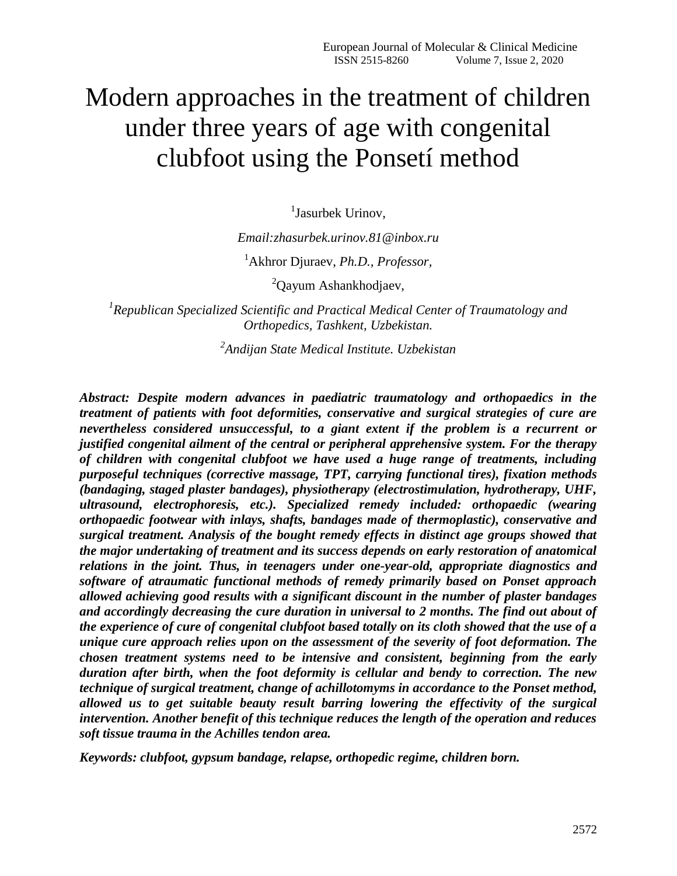## Modern approaches in the treatment of children under three years of age with congenital clubfoot using the Ponsetí method

<sup>1</sup>Jasurbek Urinov,

*Email:zhasurbek.urinov.81@inbox.ru* 

<sup>1</sup>Akhror Djuraev, *Ph.D., Professor,*

<sup>2</sup>Qayum Ashankhodjaev,

*1 Republican Specialized Scientific and Practical Medical Center of Traumatology and Orthopedics, Tashkent, Uzbekistan.*

*2 Andijan State Medical Institute. Uzbekistan* 

*Abstract: Despite modern advances in paediatric traumatology and orthopaedics in the treatment of patients with foot deformities, conservative and surgical strategies of cure are nevertheless considered unsuccessful, to a giant extent if the problem is a recurrent or justified congenital ailment of the central or peripheral apprehensive system. For the therapy of children with congenital clubfoot we have used a huge range of treatments, including purposeful techniques (corrective massage, TPT, carrying functional tires), fixation methods (bandaging, staged plaster bandages), physiotherapy (electrostimulation, hydrotherapy, UHF, ultrasound, electrophoresis, etc.). Specialized remedy included: orthopaedic (wearing orthopaedic footwear with inlays, shafts, bandages made of thermoplastic), conservative and surgical treatment. Analysis of the bought remedy effects in distinct age groups showed that the major undertaking of treatment and its success depends on early restoration of anatomical relations in the joint. Thus, in teenagers under one-year-old, appropriate diagnostics and software of atraumatic functional methods of remedy primarily based on Ponset approach allowed achieving good results with a significant discount in the number of plaster bandages and accordingly decreasing the cure duration in universal to 2 months. The find out about of the experience of cure of congenital clubfoot based totally on its cloth showed that the use of a unique cure approach relies upon on the assessment of the severity of foot deformation. The chosen treatment systems need to be intensive and consistent, beginning from the early duration after birth, when the foot deformity is cellular and bendy to correction. The new technique of surgical treatment, change of achillotomyms in accordance to the Ponset method, allowed us to get suitable beauty result barring lowering the effectivity of the surgical intervention. Another benefit of this technique reduces the length of the operation and reduces soft tissue trauma in the Achilles tendon area.* 

*Keywords: clubfoot, gypsum bandage, relapse, orthopedic regime, children born.*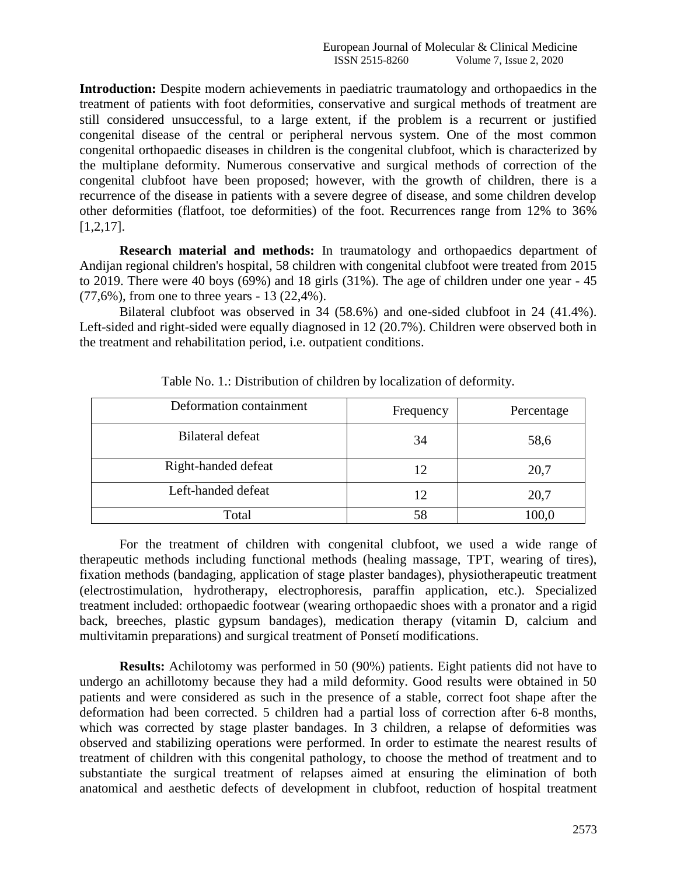**Introduction:** Despite modern achievements in paediatric traumatology and orthopaedics in the treatment of patients with foot deformities, conservative and surgical methods of treatment are still considered unsuccessful, to a large extent, if the problem is a recurrent or justified congenital disease of the central or peripheral nervous system. One of the most common congenital orthopaedic diseases in children is the congenital clubfoot, which is characterized by the multiplane deformity. Numerous conservative and surgical methods of correction of the congenital clubfoot have been proposed; however, with the growth of children, there is a recurrence of the disease in patients with a severe degree of disease, and some children develop other deformities (flatfoot, toe deformities) of the foot. Recurrences range from 12% to 36% [1,2,17].

**Research material and methods:** In traumatology and orthopaedics department of Andijan regional children's hospital, 58 children with congenital clubfoot were treated from 2015 to 2019. There were 40 boys (69%) and 18 girls (31%). The age of children under one year - 45 (77,6%), from one to three years - 13 (22,4%).

Bilateral clubfoot was observed in 34 (58.6%) and one-sided clubfoot in 24 (41.4%). Left-sided and right-sided were equally diagnosed in 12 (20.7%). Children were observed both in the treatment and rehabilitation period, i.e. outpatient conditions.

| Deformation containment | Frequency | Percentage |
|-------------------------|-----------|------------|
| <b>Bilateral defeat</b> | 34        | 58,6       |
| Right-handed defeat     | 12        | 20,7       |
| Left-handed defeat      | 12        | 20,7       |
| Total                   | 58        | 100,0      |

| Table No. 1.: Distribution of children by localization of deformity. |  |
|----------------------------------------------------------------------|--|
|----------------------------------------------------------------------|--|

For the treatment of children with congenital clubfoot, we used a wide range of therapeutic methods including functional methods (healing massage, TPT, wearing of tires), fixation methods (bandaging, application of stage plaster bandages), physiotherapeutic treatment (electrostimulation, hydrotherapy, electrophoresis, paraffin application, etc.). Specialized treatment included: orthopaedic footwear (wearing orthopaedic shoes with a pronator and a rigid back, breeches, plastic gypsum bandages), medication therapy (vitamin D, calcium and multivitamin preparations) and surgical treatment of Ponsetí modifications.

**Results:** Achilotomy was performed in 50 (90%) patients. Eight patients did not have to undergo an achillotomy because they had a mild deformity. Good results were obtained in 50 patients and were considered as such in the presence of a stable, correct foot shape after the deformation had been corrected. 5 children had a partial loss of correction after 6-8 months, which was corrected by stage plaster bandages. In 3 children, a relapse of deformities was observed and stabilizing operations were performed. In order to estimate the nearest results of treatment of children with this congenital pathology, to choose the method of treatment and to substantiate the surgical treatment of relapses aimed at ensuring the elimination of both anatomical and aesthetic defects of development in clubfoot, reduction of hospital treatment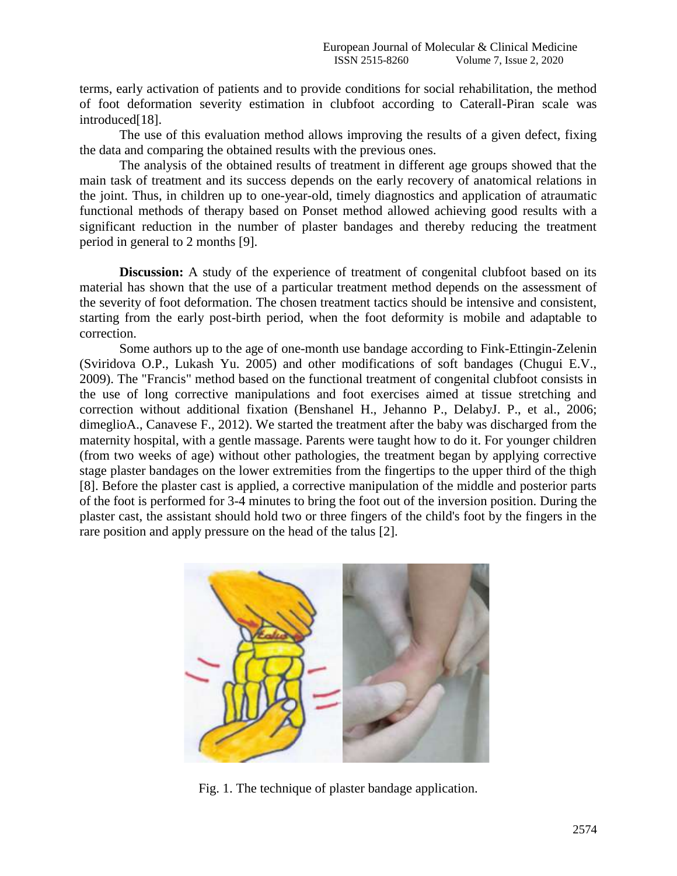terms, early activation of patients and to provide conditions for social rehabilitation, the method of foot deformation severity estimation in clubfoot according to Caterall-Piran scale was introduced<sup>[18]</sup>.

The use of this evaluation method allows improving the results of a given defect, fixing the data and comparing the obtained results with the previous ones.

The analysis of the obtained results of treatment in different age groups showed that the main task of treatment and its success depends on the early recovery of anatomical relations in the joint. Thus, in children up to one-year-old, timely diagnostics and application of atraumatic functional methods of therapy based on Ponset method allowed achieving good results with a significant reduction in the number of plaster bandages and thereby reducing the treatment period in general to 2 months [9].

**Discussion:** A study of the experience of treatment of congenital clubfoot based on its material has shown that the use of a particular treatment method depends on the assessment of the severity of foot deformation. The chosen treatment tactics should be intensive and consistent, starting from the early post-birth period, when the foot deformity is mobile and adaptable to correction.

Some authors up to the age of one-month use bandage according to Fink-Ettingin-Zelenin (Sviridova O.P., Lukash Yu. 2005) and other modifications of soft bandages (Chugui E.V., 2009). The "Francis" method based on the functional treatment of congenital clubfoot consists in the use of long corrective manipulations and foot exercises aimed at tissue stretching and correction without additional fixation (Benshanel H., Jehanno P., DelabyJ. P., et al., 2006; dimeglioA., Canavese F., 2012). We started the treatment after the baby was discharged from the maternity hospital, with a gentle massage. Parents were taught how to do it. For younger children (from two weeks of age) without other pathologies, the treatment began by applying corrective stage plaster bandages on the lower extremities from the fingertips to the upper third of the thigh [8]. Before the plaster cast is applied, a corrective manipulation of the middle and posterior parts of the foot is performed for 3-4 minutes to bring the foot out of the inversion position. During the plaster cast, the assistant should hold two or three fingers of the child's foot by the fingers in the rare position and apply pressure on the head of the talus [2].



Fig. 1. The technique of plaster bandage application.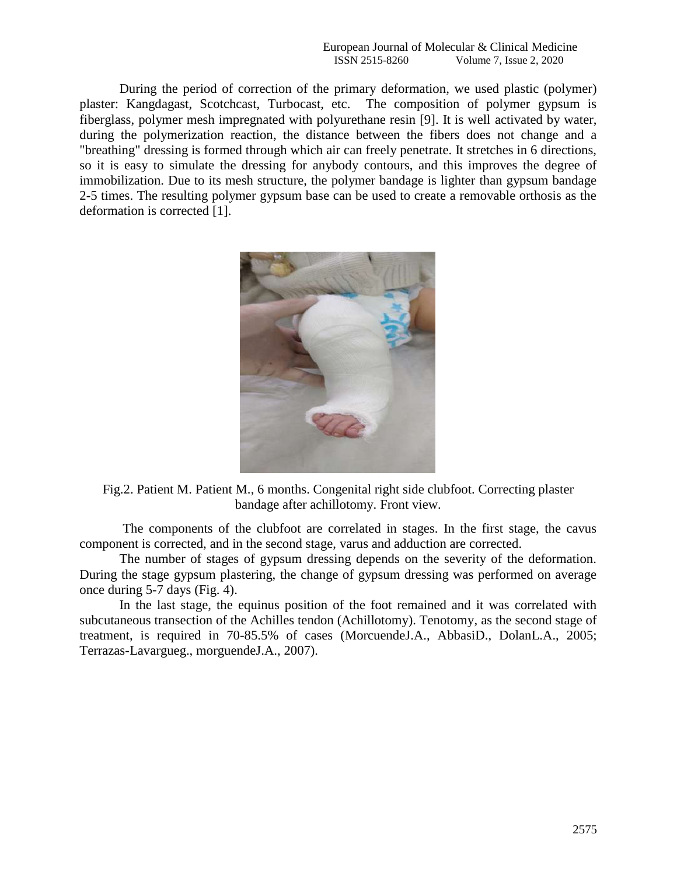European Journal of Molecular & Clinical Medicine<br>ISSN 2515-8260 Volume 7, Issue 2, 2020 Volume 7, Issue 2, 2020

During the period of correction of the primary deformation, we used plastic (polymer) plaster: Kangdagast, Scotchcast, Turbocast, etc. The composition of polymer gypsum is fiberglass, polymer mesh impregnated with polyurethane resin [9]. It is well activated by water, during the polymerization reaction, the distance between the fibers does not change and a "breathing" dressing is formed through which air can freely penetrate. It stretches in 6 directions, so it is easy to simulate the dressing for anybody contours, and this improves the degree of immobilization. Due to its mesh structure, the polymer bandage is lighter than gypsum bandage 2-5 times. The resulting polymer gypsum base can be used to create a removable orthosis as the deformation is corrected [1].



Fig.2. Patient M. Patient M., 6 months. Congenital right side clubfoot. Correcting plaster bandage after achillotomy. Front view.

The components of the clubfoot are correlated in stages. In the first stage, the cavus component is corrected, and in the second stage, varus and adduction are corrected.

The number of stages of gypsum dressing depends on the severity of the deformation. During the stage gypsum plastering, the change of gypsum dressing was performed on average once during 5-7 days (Fig. 4).

In the last stage, the equinus position of the foot remained and it was correlated with subcutaneous transection of the Achilles tendon (Achillotomy). Tenotomy, as the second stage of treatment, is required in 70-85.5% of cases (MorcuendeJ.A., AbbasiD., DolanL.A., 2005; Terrazas-Lavargueg., morguendeJ.A., 2007).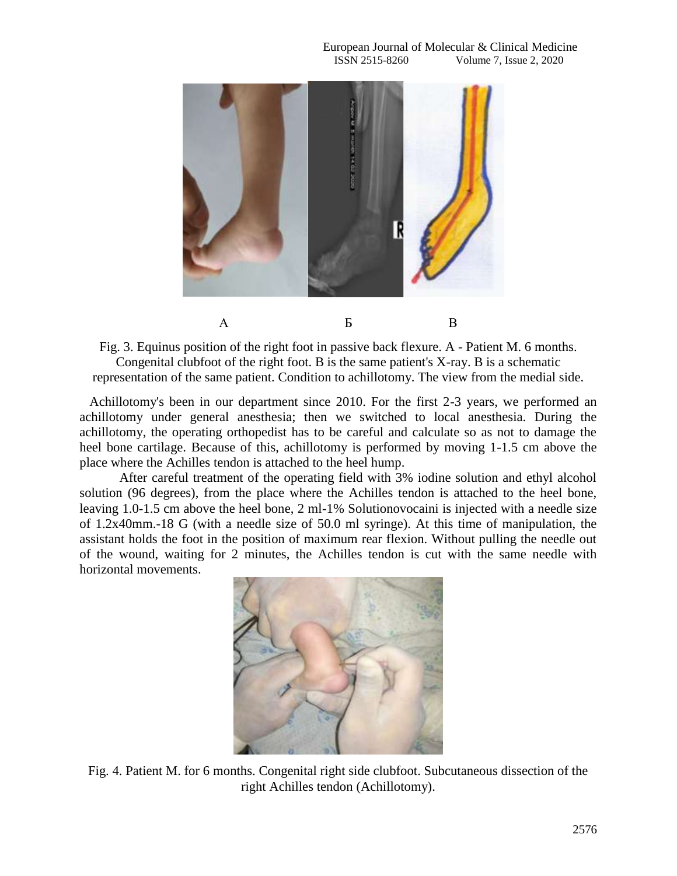

Fig. 3. Equinus position of the right foot in passive back flexure. A - Patient M. 6 months. Congenital clubfoot of the right foot. B is the same patient's X-ray. B is a schematic representation of the same patient. Condition to achillotomy. The view from the medial side.

 Achillotomy's been in our department since 2010. For the first 2-3 years, we performed an achillotomy under general anesthesia; then we switched to local anesthesia. During the achillotomy, the operating orthopedist has to be careful and calculate so as not to damage the heel bone cartilage. Because of this, achillotomy is performed by moving 1-1.5 cm above the place where the Achilles tendon is attached to the heel hump.

After careful treatment of the operating field with 3% iodine solution and ethyl alcohol solution (96 degrees), from the place where the Achilles tendon is attached to the heel bone, leaving 1.0-1.5 cm above the heel bone, 2 ml-1% Solutionovocaini is injected with a needle size of 1.2x40mm.-18 G (with a needle size of 50.0 ml syringe). At this time of manipulation, the assistant holds the foot in the position of maximum rear flexion. Without pulling the needle out of the wound, waiting for 2 minutes, the Achilles tendon is cut with the same needle with horizontal movements.



Fig. 4. Patient M. for 6 months. Congenital right side clubfoot. Subcutaneous dissection of the right Achilles tendon (Achillotomy).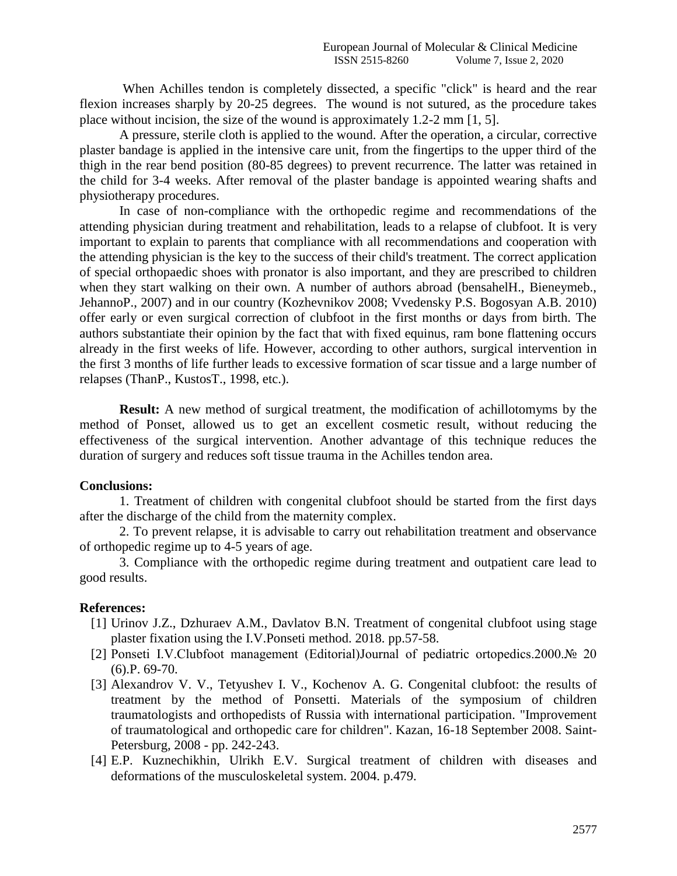When Achilles tendon is completely dissected, a specific "click" is heard and the rear flexion increases sharply by 20-25 degrees. The wound is not sutured, as the procedure takes place without incision, the size of the wound is approximately 1.2-2 mm [1, 5].

A pressure, sterile cloth is applied to the wound. After the operation, a circular, corrective plaster bandage is applied in the intensive care unit, from the fingertips to the upper third of the thigh in the rear bend position (80-85 degrees) to prevent recurrence. The latter was retained in the child for 3-4 weeks. After removal of the plaster bandage is appointed wearing shafts and physiotherapy procedures.

In case of non-compliance with the orthopedic regime and recommendations of the attending physician during treatment and rehabilitation, leads to a relapse of clubfoot. It is very important to explain to parents that compliance with all recommendations and cooperation with the attending physician is the key to the success of their child's treatment. The correct application of special orthopaedic shoes with pronator is also important, and they are prescribed to children when they start walking on their own. A number of authors abroad (bensahelH., Bieneymeb., JehannoP., 2007) and in our country (Kozhevnikov 2008; Vvedensky P.S. Bogosyan A.B. 2010) offer early or even surgical correction of clubfoot in the first months or days from birth. The authors substantiate their opinion by the fact that with fixed equinus, ram bone flattening occurs already in the first weeks of life. However, according to other authors, surgical intervention in the first 3 months of life further leads to excessive formation of scar tissue and a large number of relapses (ThanP., KustosT., 1998, etc.).

**Result:** A new method of surgical treatment, the modification of achillotomyms by the method of Ponset, allowed us to get an excellent cosmetic result, without reducing the effectiveness of the surgical intervention. Another advantage of this technique reduces the duration of surgery and reduces soft tissue trauma in the Achilles tendon area.

## **Conclusions:**

1. Treatment of children with congenital clubfoot should be started from the first days after the discharge of the child from the maternity complex.

2. To prevent relapse, it is advisable to carry out rehabilitation treatment and observance of orthopedic regime up to 4-5 years of age.

3. Compliance with the orthopedic regime during treatment and outpatient care lead to good results.

## **References:**

- [1] Urinov J.Z., Dzhuraev A.M., Davlatov B.N. Treatment of congenital clubfoot using stage plaster fixation using the I.V.Ponseti method. 2018. pp.57-58.
- [2] Ponseti I.V.Clubfoot management (Editorial)Journal of pediatric ortopedics.2000.№ 20 (6).P. 69-70.
- [3] Alexandrov V. V., Tetyushev I. V., Kochenov A. G. Congenital clubfoot: the results of treatment by the method of Ponsetti. Materials of the symposium of children traumatologists and orthopedists of Russia with international participation. "Improvement of traumatological and orthopedic care for children". Kazan, 16-18 September 2008. Saint-Petersburg, 2008 - pp. 242-243.
- [4] E.P. Kuznechikhin, Ulrikh E.V. Surgical treatment of children with diseases and deformations of the musculoskeletal system. 2004. p.479.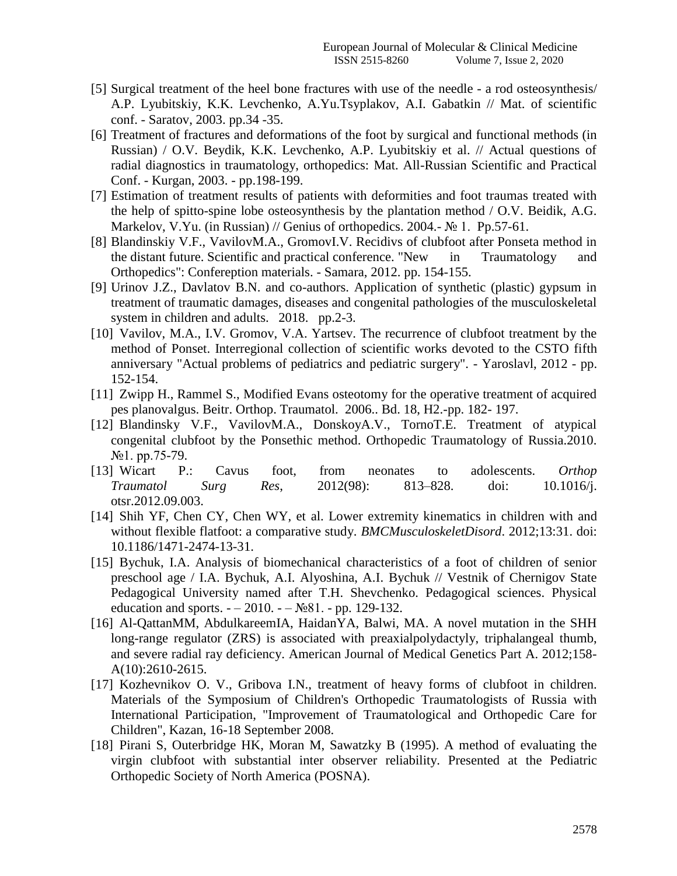- [5] Surgical treatment of the heel bone fractures with use of the needle a rod osteosynthesis/ A.P. Lyubitskiy, K.K. Levchenko, A.Yu.Tsyplakov, A.I. Gabatkin // Mat. of scientific conf. - Saratov, 2003. pp.34 -35.
- [6] Treatment of fractures and deformations of the foot by surgical and functional methods (in Russian) / O.V. Beydik, K.K. Levchenko, A.P. Lyubitskiy et al. // Actual questions of radial diagnostics in traumatology, orthopedics: Mat. All-Russian Scientific and Practical Conf. - Kurgan, 2003. - pp.198-199.
- [7] Estimation of treatment results of patients with deformities and foot traumas treated with the help of spitto-spine lobe osteosynthesis by the plantation method / O.V. Beidik, A.G. Markelov, V.Yu. (in Russian) // Genius of orthopedics. 2004.-  $\mathbb{N}_2$  1. Pp.57-61.
- [8] Blandinskiy V.F., VavilovM.A., GromovI.V. Recidivs of clubfoot after Ponseta method in the distant future. Scientific and practical conference. "New in Traumatology and Orthopedics": Confereption materials. - Samara, 2012. pp. 154-155.
- [9] Urinov J.Z., Davlatov B.N. and co-authors. Application of synthetic (plastic) gypsum in treatment of traumatic damages, diseases and congenital pathologies of the musculoskeletal system in children and adults. 2018. pp.2-3.
- [10] Vavilov, M.A., I.V. Gromov, V.A. Yartsev. The recurrence of clubfoot treatment by the method of Ponset. Interregional collection of scientific works devoted to the CSTO fifth anniversary "Actual problems of pediatrics and pediatric surgery". - Yaroslavl, 2012 - pp. 152-154.
- [11] Zwipp H., Rammel S., Modified Evans osteotomy for the operative treatment of acquired pes planovalgus. Beitr. Orthop. Traumatol. 2006.. Bd. 18, H2.-pp. 182- 197.
- [12] Blandinsky V.F., VavilovM.A., DonskoyA.V., TornoT.E. Treatment of atypical congenital clubfoot by the Ponsethic method. Orthopedic Traumatology of Russia.2010. №1. pp.75-79.
- [13] Wicart P.: Cavus foot, from neonates to adolescents. *Orthop Traumatol Surg Res*, 2012(98): 813–828. doi: 10.1016/j. otsr.2012.09.003.
- [14] Shih YF, Chen CY, Chen WY, et al. Lower extremity kinematics in children with and without flexible flatfoot: a comparative study. *BMCMusculoskeletDisord*. 2012;13:31. doi: 10.1186/1471-2474-13-31.
- [15] Bychuk, I.A. Analysis of biomechanical characteristics of a foot of children of senior preschool age / I.A. Bychuk, A.I. Alyoshina, A.I. Bychuk // Vestnik of Chernigov State Pedagogical University named after T.H. Shevchenko. Pedagogical sciences. Physical education and sports.  $-2010. -N_281. -pp. 129-132.$
- [16] Al-QattanMM, AbdulkareemIA, HaidanYA, Balwi, MA. A novel mutation in the SHH long-range regulator (ZRS) is associated with preaxialpolydactyly, triphalangeal thumb, and severe radial ray deficiency. American Journal of Medical Genetics Part A. 2012;158- A(10):2610-2615.
- [17] Kozhevnikov O. V., Gribova I.N., treatment of heavy forms of clubfoot in children. Materials of the Symposium of Children's Orthopedic Traumatologists of Russia with International Participation, "Improvement of Traumatological and Orthopedic Care for Children", Kazan, 16-18 September 2008.
- [18] Pirani S, Outerbridge HK, Moran M, Sawatzky B (1995). A method of evaluating the virgin clubfoot with substantial inter observer reliability. Presented at the Pediatric Orthopedic Society of North America (POSNA).